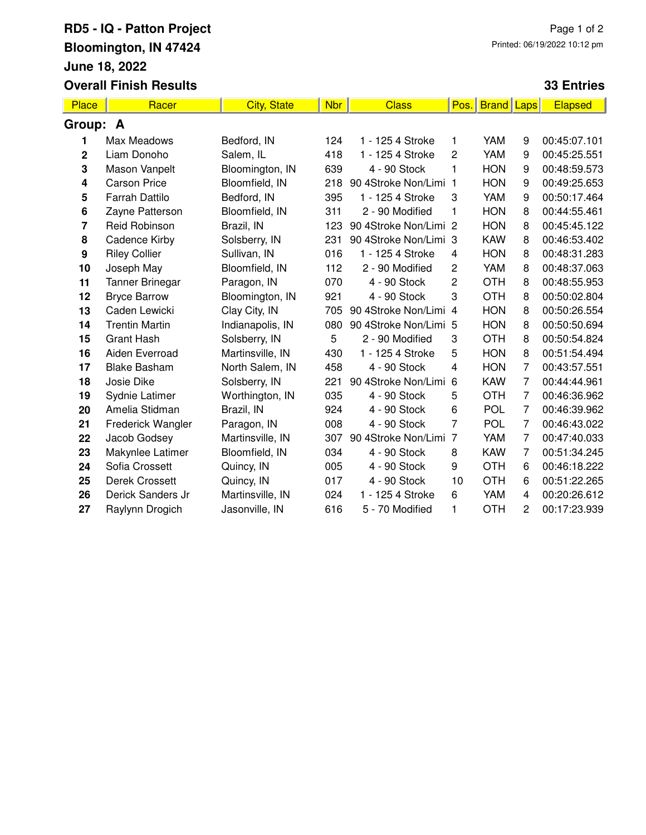## **RD5 - IQ - Patton Project Bloomington, IN 47424 June 18, 2022 Overall Finish Results**

## **33 Entries**

| <b>Place</b>     | Racer                  | <b>City, State</b> | <b>Nbr</b> | <b>Class</b>          | Pos.           | <b>Brand</b> | Laps           | Elapsed      |
|------------------|------------------------|--------------------|------------|-----------------------|----------------|--------------|----------------|--------------|
| Group: A         |                        |                    |            |                       |                |              |                |              |
| 1                | Max Meadows            | Bedford, IN        | 124        | 1 - 125 4 Stroke      | 1              | YAM          | 9              | 00:45:07.101 |
| $\mathbf 2$      | Liam Donoho            | Salem, IL          | 418        | 1 - 125 4 Stroke      | $\overline{c}$ | YAM          | 9              | 00:45:25.551 |
| 3                | Mason Vanpelt          | Bloomington, IN    | 639        | 4 - 90 Stock          | 1              | <b>HON</b>   | 9              | 00:48:59.573 |
| 4                | <b>Carson Price</b>    | Bloomfield, IN     | 218        | 90 4Stroke Non/Limi 1 |                | <b>HON</b>   | 9              | 00:49:25.653 |
| 5                | <b>Farrah Dattilo</b>  | Bedford, IN        | 395        | 1 - 125 4 Stroke      | 3              | YAM          | 9              | 00:50:17.464 |
| 6                | Zayne Patterson        | Bloomfield, IN     | 311        | 2 - 90 Modified       | 1              | <b>HON</b>   | 8              | 00:44:55.461 |
| 7                | Reid Robinson          | Brazil, IN         | 123        | 90 4Stroke Non/Limi 2 |                | <b>HON</b>   | 8              | 00:45:45.122 |
| 8                | Cadence Kirby          | Solsberry, IN      | 231        | 90 4Stroke Non/Limi 3 |                | <b>KAW</b>   | 8              | 00:46:53.402 |
| $\boldsymbol{9}$ | <b>Riley Collier</b>   | Sullivan, IN       | 016        | 1 - 125 4 Stroke      | 4              | <b>HON</b>   | 8              | 00:48:31.283 |
| 10               | Joseph May             | Bloomfield, IN     | 112        | 2 - 90 Modified       | $\overline{c}$ | YAM          | 8              | 00:48:37.063 |
| 11               | <b>Tanner Brinegar</b> | Paragon, IN        | 070        | 4 - 90 Stock          | $\overline{c}$ | <b>OTH</b>   | 8              | 00:48:55.953 |
| 12               | <b>Bryce Barrow</b>    | Bloomington, IN    | 921        | 4 - 90 Stock          | 3              | <b>OTH</b>   | 8              | 00:50:02.804 |
| 13               | Caden Lewicki          | Clay City, IN      | 705        | 90 4Stroke Non/Limi 4 |                | <b>HON</b>   | 8              | 00:50:26.554 |
| 14               | <b>Trentin Martin</b>  | Indianapolis, IN   | 080        | 90 4Stroke Non/Limi 5 |                | <b>HON</b>   | 8              | 00:50:50.694 |
| 15               | <b>Grant Hash</b>      | Solsberry, IN      | 5          | 2 - 90 Modified       | 3              | <b>OTH</b>   | 8              | 00:50:54.824 |
| 16               | Aiden Everroad         | Martinsville, IN   | 430        | 1 - 125 4 Stroke      | 5              | <b>HON</b>   | 8              | 00:51:54.494 |
| 17               | <b>Blake Basham</b>    | North Salem, IN    | 458        | 4 - 90 Stock          | $\overline{4}$ | <b>HON</b>   | 7              | 00:43:57.551 |
| 18               | Josie Dike             | Solsberry, IN      | 221        | 90 4Stroke Non/Limi 6 |                | <b>KAW</b>   | $\overline{7}$ | 00:44:44.961 |
| 19               | Sydnie Latimer         | Worthington, IN    | 035        | 4 - 90 Stock          | 5              | <b>OTH</b>   | 7              | 00:46:36.962 |
| 20               | Amelia Stidman         | Brazil, IN         | 924        | 4 - 90 Stock          | 6              | <b>POL</b>   | $\overline{7}$ | 00:46:39.962 |
| 21               | Frederick Wangler      | Paragon, IN        | 008        | 4 - 90 Stock          | 7              | <b>POL</b>   | 7              | 00:46:43.022 |
| 22               | Jacob Godsey           | Martinsville, IN   | 307        | 90 4Stroke Non/Limi 7 |                | YAM          | $\overline{7}$ | 00:47:40.033 |
| 23               | Makynlee Latimer       | Bloomfield, IN     | 034        | 4 - 90 Stock          | 8              | <b>KAW</b>   | 7              | 00:51:34.245 |
| 24               | Sofia Crossett         | Quincy, IN         | 005        | 4 - 90 Stock          | 9              | <b>OTH</b>   | 6              | 00:46:18.222 |
| 25               | <b>Derek Crossett</b>  | Quincy, IN         | 017        | 4 - 90 Stock          | 10             | <b>OTH</b>   | 6              | 00:51:22.265 |
| 26               | Derick Sanders Jr      | Martinsville, IN   | 024        | 1 - 125 4 Stroke      | 6              | YAM          | 4              | 00:20:26.612 |
| 27               | Raylynn Drogich        | Jasonville, IN     | 616        | 5 - 70 Modified       | 1              | <b>OTH</b>   | 2              | 00:17:23.939 |